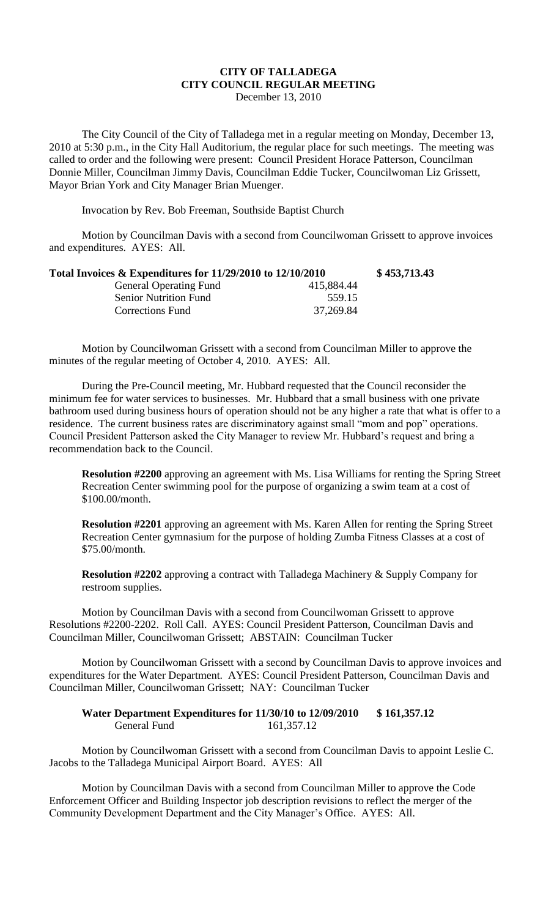## **CITY OF TALLADEGA CITY COUNCIL REGULAR MEETING** December 13, 2010

The City Council of the City of Talladega met in a regular meeting on Monday, December 13, 2010 at 5:30 p.m., in the City Hall Auditorium, the regular place for such meetings. The meeting was called to order and the following were present: Council President Horace Patterson, Councilman Donnie Miller, Councilman Jimmy Davis, Councilman Eddie Tucker, Councilwoman Liz Grissett, Mayor Brian York and City Manager Brian Muenger.

Invocation by Rev. Bob Freeman, Southside Baptist Church

Motion by Councilman Davis with a second from Councilwoman Grissett to approve invoices and expenditures. AYES: All.

| Total Invoices $\&$ Expenditures for 11/29/2010 to 12/10/2010 |            | \$453,713.43 |
|---------------------------------------------------------------|------------|--------------|
| <b>General Operating Fund</b>                                 | 415,884.44 |              |
| <b>Senior Nutrition Fund</b>                                  | 559.15     |              |
| <b>Corrections Fund</b>                                       | 37,269.84  |              |

Motion by Councilwoman Grissett with a second from Councilman Miller to approve the minutes of the regular meeting of October 4, 2010. AYES: All.

During the Pre-Council meeting, Mr. Hubbard requested that the Council reconsider the minimum fee for water services to businesses. Mr. Hubbard that a small business with one private bathroom used during business hours of operation should not be any higher a rate that what is offer to a residence. The current business rates are discriminatory against small "mom and pop" operations. Council President Patterson asked the City Manager to review Mr. Hubbard's request and bring a recommendation back to the Council.

**Resolution #2200** approving an agreement with Ms. Lisa Williams for renting the Spring Street Recreation Center swimming pool for the purpose of organizing a swim team at a cost of \$100.00/month.

**Resolution #2201** approving an agreement with Ms. Karen Allen for renting the Spring Street Recreation Center gymnasium for the purpose of holding Zumba Fitness Classes at a cost of \$75.00/month.

**Resolution #2202** approving a contract with Talladega Machinery & Supply Company for restroom supplies.

Motion by Councilman Davis with a second from Councilwoman Grissett to approve Resolutions #2200-2202. Roll Call. AYES: Council President Patterson, Councilman Davis and Councilman Miller, Councilwoman Grissett; ABSTAIN: Councilman Tucker

Motion by Councilwoman Grissett with a second by Councilman Davis to approve invoices and expenditures for the Water Department. AYES: Council President Patterson, Councilman Davis and Councilman Miller, Councilwoman Grissett; NAY: Councilman Tucker

## **Water Department Expenditures for 11/30/10 to 12/09/2010 \$ 161,357.12** General Fund 161,357.12

Motion by Councilwoman Grissett with a second from Councilman Davis to appoint Leslie C. Jacobs to the Talladega Municipal Airport Board. AYES: All

Motion by Councilman Davis with a second from Councilman Miller to approve the Code Enforcement Officer and Building Inspector job description revisions to reflect the merger of the Community Development Department and the City Manager's Office. AYES: All.